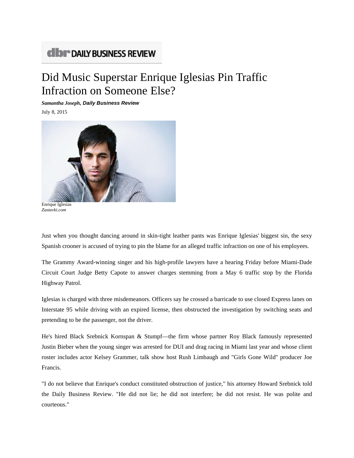## **CIDI<sup>\*</sup> DAILY BUSINESS REVIEW**

## Did Music Superstar Enrique Iglesias Pin Traffic Infraction on Someone Else?

*Samantha Joseph, Daily Business Review*

July 8, 2015



Enrique Iglesias *Zastavki.com*

Just when you thought dancing around in skin-tight leather pants was Enrique Iglesias' biggest sin, the sexy Spanish crooner is accused of trying to pin the blame for an alleged traffic infraction on one of his employees.

The Grammy Award-winning singer and his high-profile lawyers have a hearing Friday before Miami-Dade Circuit Court Judge Betty Capote to answer charges stemming from a May 6 traffic stop by the Florida Highway Patrol.

Iglesias is charged with three misdemeanors. Officers say he crossed a barricade to use closed Express lanes on Interstate 95 while driving with an expired license, then obstructed the investigation by switching seats and pretending to be the passenger, not the driver.

He's hired Black Srebnick Kornspan & Stumpf—the firm whose partner Roy Black famously represented Justin Bieber when the young singer was arrested for DUI and drag racing in Miami last year and whose client roster includes actor Kelsey Grammer, talk show host Rush Limbaugh and "Girls Gone Wild" producer Joe Francis.

"I do not believe that Enrique's conduct constituted obstruction of justice," his attorney Howard Srebnick told the Daily Business Review. "He did not lie; he did not interfere; he did not resist. He was polite and courteous."